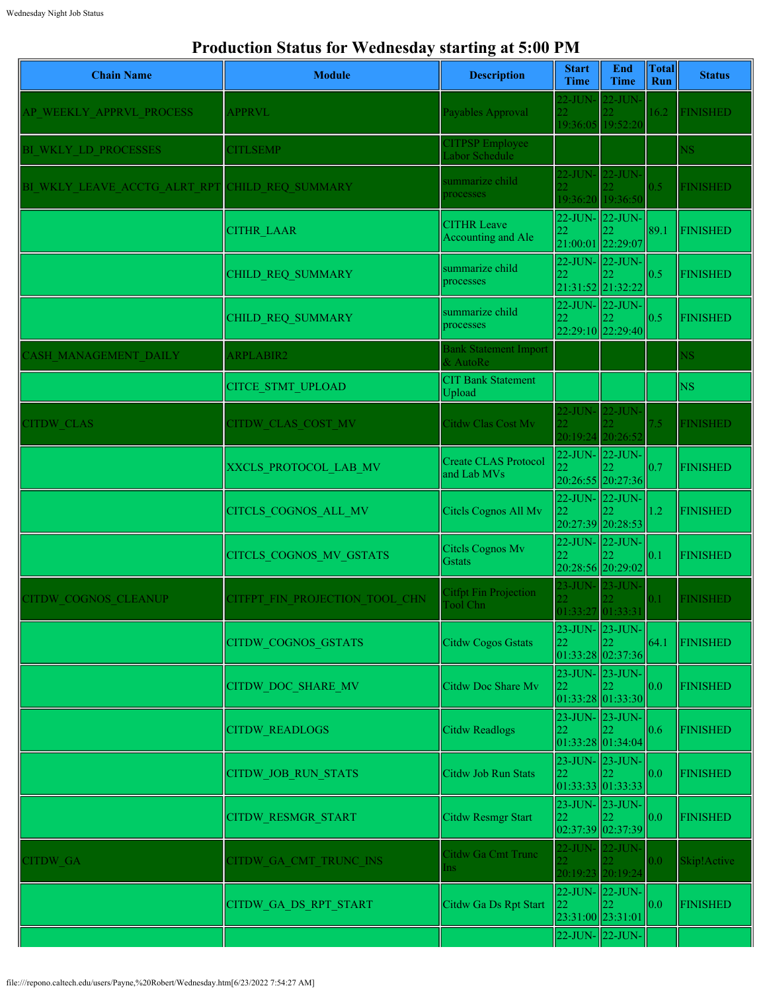## **Production Status for Wednesday starting at 5:00 PM**

| <b>Chain Name</b>            | <b>Module</b>                  | <b>Description</b>                              | <b>Start</b><br>Time                 | End<br><b>Time</b>                               | <b>Total</b><br><b>Run</b> | <b>Status</b>   |
|------------------------------|--------------------------------|-------------------------------------------------|--------------------------------------|--------------------------------------------------|----------------------------|-----------------|
| AP WEEKLY APPRVL PROCESS     | <b>APPRVL</b>                  | Payables Approval                               | 22-JUN- 22-JUN-                      | 19:36:05 19:52:20                                | 16.2                       | <b>FINISHED</b> |
| BI WKLY LD PROCESSES         | <b>CITLSEMP</b>                | <b>CITPSP Employee</b><br>Labor Schedule        |                                      |                                                  |                            | NS.             |
| BI WKLY LEAVE ACCTG ALRT RPT | CHILD REQ SUMMARY              | summarize child<br>processes                    | 22-JUN- 22-JUN-                      | 19:36:20 19:36:50                                | 0.5                        | <b>FINISHED</b> |
|                              | <b>CITHR LAAR</b>              | <b>CITHR Leave</b><br><b>Accounting and Ale</b> | 22                                   | 22-JUN-22-JUN-<br>21:00:01 22:29:07              | 89.1                       | <b>FINISHED</b> |
|                              | CHILD REQ SUMMARY              | summarize child<br>processes                    | 22                                   | 22-JUN-22-JUN-<br>21:31:52 21:32:22              | 0.5                        | <b>FINISHED</b> |
|                              | CHILD_REQ_SUMMARY              | summarize child<br>processes                    | 22                                   | 22-JUN- 22-JUN-<br>22:29:10 22:29:40             | 0.5                        | <b>FINISHED</b> |
| CASH MANAGEMENT DAILY        | <b>ARPLABIR2</b>               | <b>Bank Statement Import</b><br>& AutoRe        |                                      |                                                  |                            | NS.             |
|                              | <b>CITCE STMT UPLOAD</b>       | <b>CIT Bank Statement</b><br>Upload             |                                      |                                                  |                            | <b>NS</b>       |
| <b>CITDW CLAS</b>            | CITDW CLAS COST MV             | Citdw Clas Cost Mv                              | 22-JUN- 22-JUN-                      | 20:19:24 20:26:52                                | 7.5                        | <b>FINISHED</b> |
|                              | XXCLS PROTOCOL LAB MV          | <b>Create CLAS Protocol</b><br>and Lab MVs      |                                      | $22$ -JUN- $ 22$ -JUN-<br>20:26:55 20:27:36      | 0.7                        | <b>FINISHED</b> |
|                              | CITCLS_COGNOS_ALL_MV           | Citcls Cognos All Mv                            | 22                                   | 22-JUN- 22-JUN-<br>20:27:39 20:28:53             | 1.2                        | <b>FINISHED</b> |
|                              | CITCLS_COGNOS_MV_GSTATS        | Citels Cognos Mv<br>Gstats                      | 22                                   | 22-JUN-22-JUN-<br>20:28:56 20:29:02              | 0.1                        | <b>FINISHED</b> |
| CITDW COGNOS CLEANUP         | CITFPT FIN PROJECTION TOOL CHN | <b>Citfpt Fin Projection</b><br>Tool Chn        | 23-JUN- 23-JUN-<br>01:33:27 01:33:31 |                                                  | $\rm 0.1$                  | <b>FINISHED</b> |
|                              | <b>CITDW COGNOS GSTATS</b>     | <b>Citdw Cogos Gstats</b>                       | 23-JUN- 23-JUN-<br>22                | 01:33:28 02:37:36                                | 64.1                       | <b>FINISHED</b> |
|                              | CITDW_DOC_SHARE_MV             | Citdw Doc Share Mv                              | 22                                   | $23$ -JUN- $23$ -JUN-<br> 01:33:28 01:33:30      | 0.0                        | <b>FINISHED</b> |
|                              | <b>CITDW READLOGS</b>          | Citdw Readlogs                                  | 23-JUN- 23-JUN-<br>22                | 01:33:28 01:34:04                                | 0.6                        | <b>FINISHED</b> |
|                              | CITDW_JOB_RUN_STATS            | Citdw Job Run Stats                             | 23-JUN- 23-JUN-<br>22                | 01:33:33 01:33:33                                | 0.0                        | <b>FINISHED</b> |
|                              | <b>CITDW RESMGR START</b>      | Citdw Resmgr Start                              | 22                                   | $23$ -JUN- $\vert$ 23-JUN-<br> 02:37:39 02:37:39 | 0.0                        | <b>FINISHED</b> |
| <b>CITDW GA</b>              | CITDW GA CMT TRUNC INS         | Citdw Ga Cmt Trunc<br>Ins                       | 22-JUN- 22-JUN-                      | 20:19:23 20:19:24                                | 0.0                        | Skip!Active     |
|                              | CITDW_GA_DS_RPT_START          | Citdw Ga Ds Rpt Start                           | 22<br>23:31:00 23:31:01              | 22-JUN- 22-JUN-<br>22                            | 0.0                        | <b>FINISHED</b> |
|                              |                                |                                                 |                                      | $22$ -JUN- $\vert$ 22-JUN-                       |                            |                 |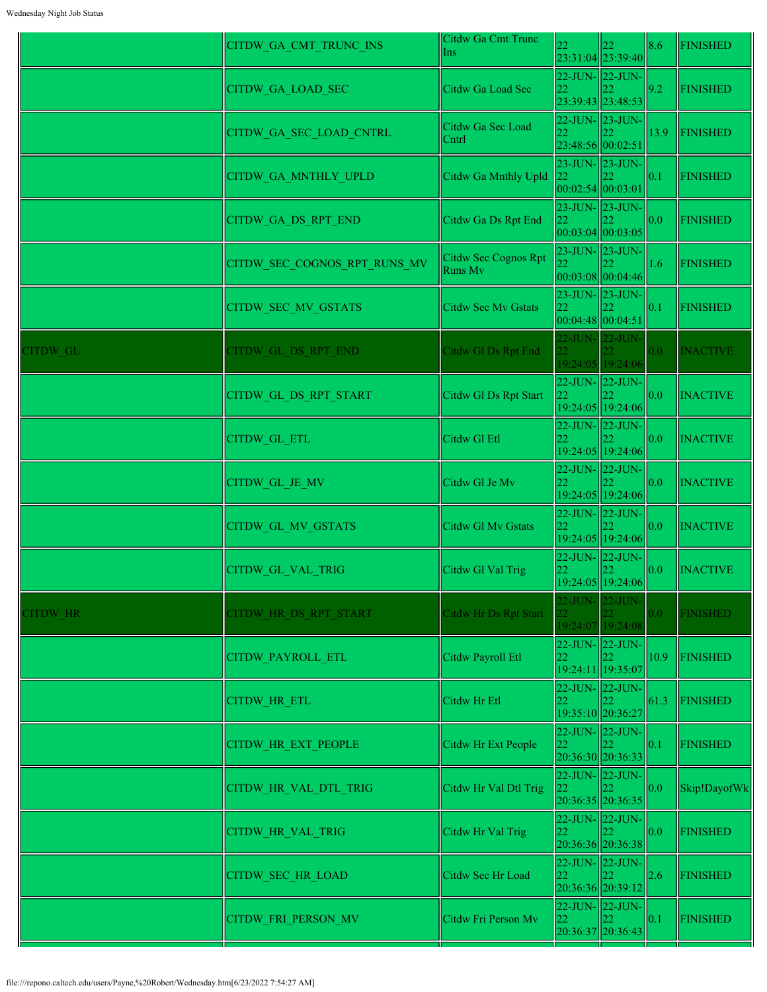|          | CITDW GA CMT TRUNC INS       | Citdw Ga Cmt Trunc<br>Ins       | 22                       | 22.<br>23:31:04 23:39:40                                 | 8.6            | <b>FINISHED</b> |
|----------|------------------------------|---------------------------------|--------------------------|----------------------------------------------------------|----------------|-----------------|
|          | <b>CITDW GA LOAD SEC</b>     | Citdw Ga Load Sec               | 22                       | 22-JUN- 22-JUN-<br>23:39:43 23:48:53                     | 9.2            | <b>FINISHED</b> |
|          | CITDW_GA_SEC_LOAD_CNTRL      | Citdw Ga Sec Load<br>Cntrl      | 22<br>23:48:56 00:02:51  | $22$ -JUN- $\vert$ 23-JUN-                               | 13.9           | FINISHED        |
|          | CITDW_GA_MNTHLY_UPLD         | Citdw Ga Mnthly Upld            | 22<br> 00:02:54 00:03:01 | $23$ -JUN- $\vert$ 23-JUN-                               | 0.1            | <b>FINISHED</b> |
|          | CITDW_GA_DS_RPT_END          | Citdw Ga Ds Rpt End             | 22                       | 23-JUN-23-JUN-<br>00:03:04 00:03:05                      | 0.0            | <b>FINISHED</b> |
|          | CITDW SEC COGNOS RPT RUNS MV | Citdw Sec Cognos Rpt<br>Runs Mv | 22.                      | 23-JUN- 23-JUN-<br> 00:03:08 00:04:46                    | 1.6            | <b>FINISHED</b> |
|          | CITDW_SEC_MV_GSTATS          | <b>Citdw Sec Mv Gstats</b>      | 22                       | $23$ -JUN- $23$ -JUN-<br>00:04:48 00:04:51               | 0.1            | <b>FINISHED</b> |
| CITDW GL | CITDW GL DS RPT END          | Citdw Gl Ds Rpt End             | $\overline{22}$          | 22-JUN- 22-JUN-<br>19:24:05 19:24:06                     | 0.0            | <b>INACTIVE</b> |
|          | CITDW_GL_DS_RPT_START        | Citdw Gl Ds Rpt Start           | 22                       | $22$ -JUN- $\vert$ 22-JUN-<br>19:24:05 19:24:06          | 0.0            | <b>INACTIVE</b> |
|          | CITDW_GL_ETL                 | Citdw Gl Etl                    | 22                       | $22$ -JUN- $\vert$ 22-JUN-<br>19:24:05 19:24:06          | 0.0            | <b>INACTIVE</b> |
|          | CITDW GL JE MV               | Citdw Gl Je Mv                  | 22                       | $22$ -JUN- $\vert$ 22-JUN-<br>19:24:05 19:24:06          | 0.0            | <b>INACTIVE</b> |
|          | <b>CITDW GL MV GSTATS</b>    | <b>Citdw Gl Mv Gstats</b>       |                          | $22$ -JUN- $22$ -JUN-<br>19:24:05 19:24:06               | 0.0            | <b>INACTIVE</b> |
|          | CITDW GL VAL TRIG            | Citdw Gl Val Trig               | 22                       | 22-JUN-22-JUN-<br>19:24:05 19:24:06                      | 0.0            | <b>INACTIVE</b> |
| CITDW HR | CITDW HR DS RPT START        | <b>Citdw Hr Ds Rpt Start</b>    | 22.                      | $22$ -JUN- $22$ -JUN-<br>19:24:07 19:24:08               | 0.0            | <b>FINISHED</b> |
|          | <b>CITDW PAYROLL ETL</b>     | Citdw Payroll Etl               | 22.                      | 22-JUN-22-JUN-<br>19:24:11 19:35:07                      | $ 10.9\rangle$ | <b>FINISHED</b> |
|          | <b>CITDW HR ETL</b>          | Citdw Hr Etl                    |                          | $22$ -JUN- $\vert$ 22-JUN-<br>19:35:10 20:36:27          | 61.3           | <b>FINISHED</b> |
|          | <b>CITDW HR EXT PEOPLE</b>   | Citdw Hr Ext People             | 22                       | 22-JUN- 22-JUN-<br>20:36:30 20:36:33                     | 0.1            | <b>FINISHED</b> |
|          | CITDW HR VAL DTL TRIG        | Citdw Hr Val Dtl Trig           | 22                       | 22-JUN- 22-JUN-<br>$\mathsf{I}22$<br>$20:36:35$ 20:36:35 | 0.0            | Skip!DayofWk    |
|          | <b>CITDW HR VAL TRIG</b>     | Citdw Hr Val Trig               | 22                       | $22$ -JUN- $\vert$ 22-JUN-<br>20:36:36 20:36:38          | 0.0            | <b>FINISHED</b> |
|          | <b>CITDW SEC HR LOAD</b>     | Citdw Sec Hr Load               | 22.                      | 22-JUN- 22-JUN-<br>20:36:36 20:39:12                     | 2.6            | <b>FINISHED</b> |
|          | CITDW_FRI_PERSON_MV          | Citdw Fri Person Mv             | 22                       | $ 22$ -JUN- $ 22$ -JUN-<br>20:36:37 20:36:43             | 0.1            | <b>FINISHED</b> |
|          |                              |                                 |                          |                                                          |                |                 |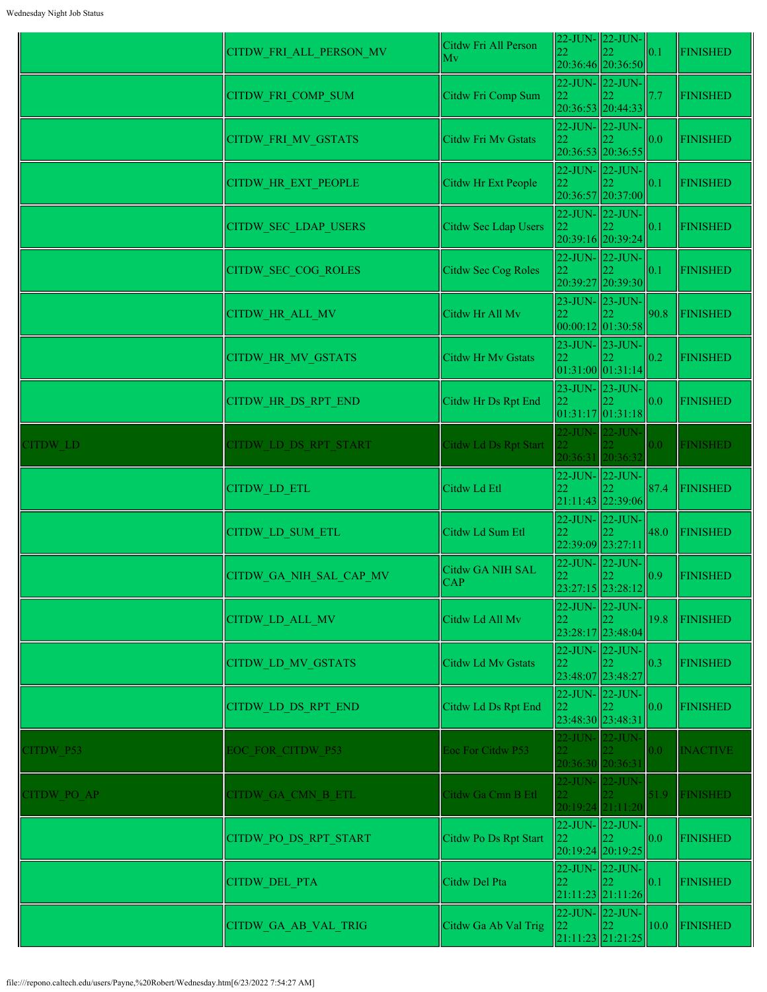|                   | CITDW_GA_AB_VAL_TRIG       | Citdw Ga Ab Val Trig           | 22-JUN- 22-JUN-<br>22<br>21:11:23 21:21:25                     | 22 | 10.0             | FINISHED        |
|-------------------|----------------------------|--------------------------------|----------------------------------------------------------------|----|------------------|-----------------|
|                   | <b>CITDW DEL PTA</b>       | Citdw Del Pta                  | $22$ -JUN- $\vert$ 22-JUN-<br>22<br>21:11:23 21:11:26          | 22 | 0.1              | <b>FINISHED</b> |
|                   | CITDW PO DS RPT START      | Citdw Po Ds Rpt Start          | 22-JUN- 22-JUN-<br>22<br>20:19:24 20:19:25                     |    | 0.0              | <b>FINISHED</b> |
| <b>ITDW PO AP</b> | CITDW GA CMN B ETL         | Citdw Ga Cmn B Etl             | 22-JUN- 22-JUN-<br>22<br>20:19:24 21:11:20                     |    | 51.9             | <b>FINISHED</b> |
| <b>ITDW P53</b>   | <b>EOC FOR CITDW P53</b>   | Eoc For Citdw P53              | 22-JUN- 22-JUN-<br>20:36:30 20:36:31                           |    | 0.0              | <b>INACTIVE</b> |
|                   | CITDW_LD_DS_RPT_END        | Citdw Ld Ds Rpt End            | $22$ -JUN- $ 22$ -JUN- $ $<br>22<br>23:48:30 23:48:31          |    | 0.0              | FINISHED        |
|                   | <b>CITDW LD MV GSTATS</b>  | Citdw Ld Mv Gstats             | 22-JUN-22-JUN-<br>22<br>23:48:07 23:48:27                      |    | 0.3              | FINISHED        |
|                   | CITDW_LD_ALL_MV            | Citdw Ld All Mv                | 22-JUN- 22-JUN-<br>22<br>23:28:17 23:48:04                     |    | 19.8             | <b>FINISHED</b> |
|                   | CITDW_GA_NIH_SAL_CAP_MV    | Citdw GA NIH SAL<br><b>CAP</b> | 22-JUN- 22-JUN-<br>22<br>23:27:15 23:28:12                     |    | 0.9              | <b>FINISHED</b> |
|                   | CITDW_LD_SUM_ETL           | Citdw Ld Sum Etl               | 22-JUN- 22-JUN-<br>22<br>22:39:09 23:27:11                     |    | 48.0             | FINISHED        |
|                   | <b>CITDW LD ETL</b>        | Citdw Ld Etl                   | 22-JUN-22-JUN-<br>22<br>21:11:43 22:39:06                      |    | 87.4             | FINISHED        |
| <b>ITDW LD</b>    | CITDW LD DS RPT START      | Citdw Ld Ds Rpt Start          | 22-JUN- 22-JUN-<br>20:36:31 20:36:32                           |    | 0.0 <sub>1</sub> | <b>FINISHED</b> |
|                   | CITDW_HR_DS_RPT_END        | Citdw Hr Ds Rpt End            | 23-JUN-23-JUN-<br>22<br> 01:31:17 01:31:18                     |    | 0.0              | <b>FINISHED</b> |
|                   | CITDW_HR_MV_GSTATS         | Citdw Hr Mv Gstats             | $23$ -JUN- $\vert 23$ -JUN- $\vert$<br>22<br>01:31:00 01:31:14 |    | 0.2              | <b>FINISHED</b> |
|                   | <b>CITDW HR ALL MV</b>     | Citdw Hr All Mv                | $23$ -JUN- $ 23$ -JUN- $ $<br>22<br> 00:00:12 01:30:58         |    | 90.8             | FINISHED        |
|                   | <b>CITDW SEC COG ROLES</b> | Citdw Sec Cog Roles            | 22-JUN-22-JUN-<br>22<br>20:39:27 20:39:30                      |    | 0.1              | <b>FINISHED</b> |
|                   | CITDW_SEC_LDAP_USERS       | Citdw Sec Ldap Users           | 22-JUN- 22-JUN-<br>22<br>20:39:16 20:39:24                     |    | 0.1              | <b>FINISHED</b> |
|                   | <b>CITDW HR EXT PEOPLE</b> | Citdw Hr Ext People            | 22-JUN- 22-JUN-<br>22<br>20:36:57 20:37:00                     |    | 0.1              | <b>FINISHED</b> |
|                   | CITDW_FRI_MV_GSTATS        | Citdw Fri Mv Gstats            | 22-JUN-22-JUN-<br>22<br>20:36:53 20:36:55                      |    | 0.0              | <b>FINISHED</b> |
|                   | CITDW_FRI_COMP_SUM         | Citdw Fri Comp Sum             | 22-JUN-22-JUN-<br>22<br>20:36:53 20:44:33                      |    | 7.7              | <b>FINISHED</b> |
|                   | CITDW_FRI_ALL_PERSON_MV    | Citdw Fri All Person<br>Mv     | 22-JUN-22-JUN-<br>22<br>20:36:46 20:36:50                      |    | 0.1              | FINISHED        |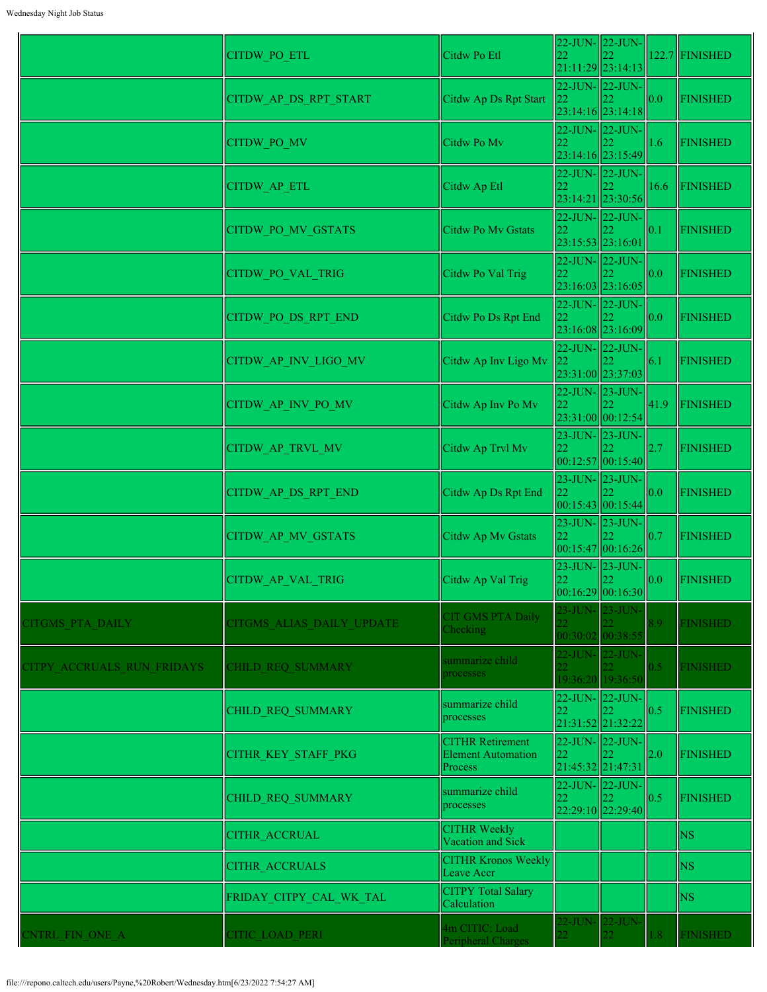|                            | CITDW_PO_ETL              | Citdw Po Etl                                             | 22                      | 22-JUN- 22-JUN-<br>$21:11:29$ 23:14:13           |                   | $122.7$ FINISHED |
|----------------------------|---------------------------|----------------------------------------------------------|-------------------------|--------------------------------------------------|-------------------|------------------|
|                            | CITDW_AP_DS_RPT_START     | Citdw Ap Ds Rpt Start                                    | 22                      | 22-JUN- 22-JUN-<br>$23:14:16$  23:14:18          | 0.0               | <b>FINISHED</b>  |
|                            | CITDW_PO_MV               | Citdw Po Mv                                              | 22                      | $22$ -JUN- $\vert$ 22-JUN-<br>23:14:16 23:15:49  | 1.6               | <b>FINISHED</b>  |
|                            | CITDW_AP_ETL              | Citdw Ap Etl                                             | 22                      | 22-JUN- 22-JUN-<br>23:14:21 23:30:56             | 16.6              | FINISHED         |
|                            | CITDW_PO_MV_GSTATS        | <b>Citdw Po My Gstats</b>                                | 22<br>23:15:53 23:16:01 | $22$ -JUN- $\vert$ 22-JUN-                       | 0.1               | <b>FINISHED</b>  |
|                            | <b>CITDW PO VAL TRIG</b>  | Citdw Po Val Trig                                        | 22                      | 22-JUN-22-JUN-<br>23:16:03 23:16:05              | 0.0               | <b>FINISHED</b>  |
|                            | CITDW PO DS RPT END       | Citdw Po Ds Rpt End                                      | 22                      | 22-JUN- 22-JUN-<br>23:16:08 23:16:09             | 0.0               | <b>FINISHED</b>  |
|                            | CITDW_AP_INV_LIGO_MV      | Citdw Ap Inv Ligo Mv                                     | 22                      | 22-JUN- 22-JUN-<br>23:31:00 23:37:03             | 6.1               | <b>FINISHED</b>  |
|                            | CITDW_AP_INV_PO_MV        | Citdw Ap Inv Po Mv                                       | 22                      | 22-JUN- 23-JUN-<br>23:31:00 00:12:54             | 41.9              | <b>FINISHED</b>  |
|                            | CITDW_AP_TRVL_MV          | Citdw Ap Trvl Mv                                         | 22                      | 23-JUN- 23-JUN-<br> 00:12:57 00:15:40            | 2.7               | <b>FINISHED</b>  |
|                            | CITDW AP DS RPT END       | Citdw Ap Ds Rpt End                                      |                         | 23-JUN- 23-JUN-<br>00:15:43 00:15:44             | 0.0               | <b>FINISHED</b>  |
|                            | CITDW AP MV GSTATS        | Citdw Ap Mv Gstats                                       | 22                      | $23$ -JUN- $\vert$ 23-JUN-<br> 00:15:47 00:16:26 | 0.7               | <b>FINISHED</b>  |
|                            | CITDW_AP_VAL_TRIG         | Citdw Ap Val Trig                                        | 22                      | 23-JUN- 23-JUN-<br> 00:16:29 00:16:30            | $\vert 0.0 \vert$ | <b>FINISHED</b>  |
| <b>CITGMS PTA DAILY</b>    | CITGMS ALIAS DAILY UPDATE | <b>CIT GMS PTA Daily</b><br>Checking                     |                         | 23-JUN- 23-JUN-<br>00:30:02 00:38:55             | 8.9               | <b>FINISHED</b>  |
| CITPY ACCRUALS RUN FRIDAYS | CHILD REQ SUMMARY         | summarize child<br>processes                             | $\overline{22}$         | 22-JUN- 22-JUN-<br>19:36:20 19:36:50             | 0.5               | <b>FINISHED</b>  |
|                            | CHILD REQ SUMMARY         | summarize child<br>processes                             | 22<br>21:31:52 21:32:22 | 22-JUN- 22-JUN-                                  | 0.5               | <b>FINISHED</b>  |
|                            | CITHR KEY STAFF PKG       | <b>CITHR Retirement</b><br>Element Automation<br>Process | 22<br>21:45:32 21:47:31 | 22-JUN- 22-JUN-                                  | 2.0               | <b>FINISHED</b>  |
|                            | CHILD REQ SUMMARY         | summarize child<br>processes                             | 22                      | 22-JUN- 22-JUN-<br>22:29:10 22:29:40             | 0.5               | <b>FINISHED</b>  |
|                            | <b>CITHR ACCRUAL</b>      | <b>CITHR Weekly</b><br>Vacation and Sick                 |                         |                                                  |                   | <b>NS</b>        |
|                            | <b>CITHR ACCRUALS</b>     | <b>CITHR Kronos Weekly</b><br>Leave Accr                 |                         |                                                  |                   | <b>NS</b>        |
|                            | FRIDAY CITPY CAL WK TAL   | <b>CITPY Total Salary</b><br>Calculation                 |                         |                                                  |                   | <b>NS</b>        |
| CNTRL FIN_ONE_A            | CITIC LOAD PERI           | 4m CITIC: Load<br>Peripheral Charges                     |                         | 22-JUN- 22-JUN-                                  | 1.8               | <b>FINISHED</b>  |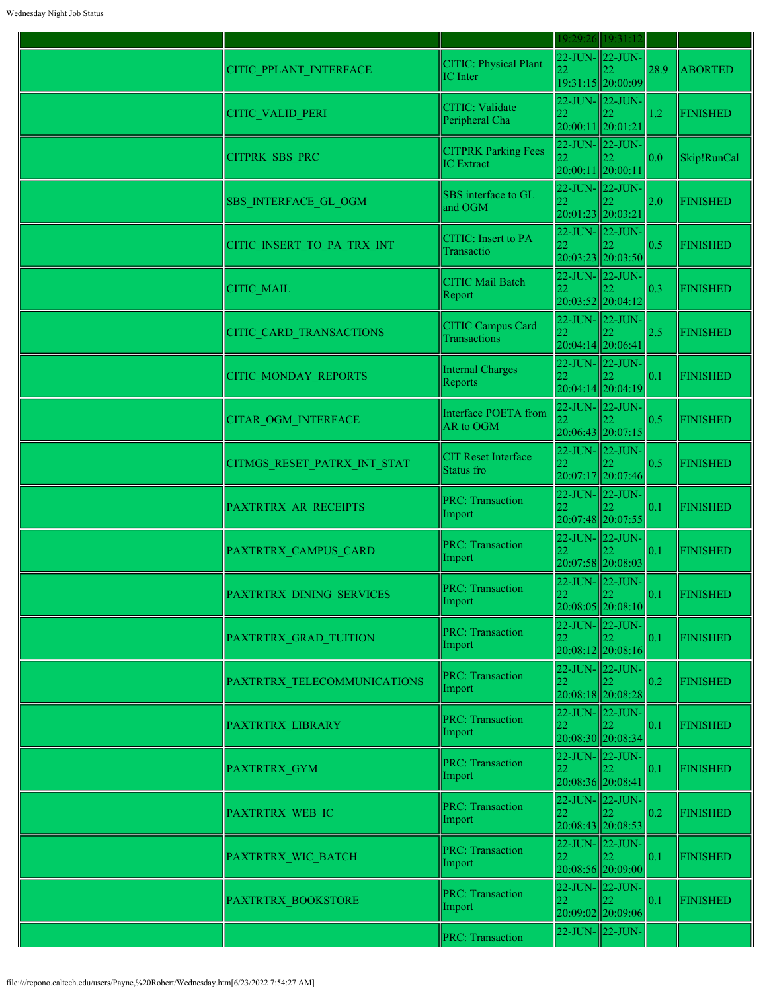|                             |                                                 | 19:29:26 19:31:12                                     |                                                    |      |                 |
|-----------------------------|-------------------------------------------------|-------------------------------------------------------|----------------------------------------------------|------|-----------------|
| CITIC_PPLANT_INTERFACE      | CITIC: Physical Plant<br>IC Inter               | 22                                                    | 22-JUN-22-JUN-<br>19:31:15 20:00:09                | 28.9 | <b>ABORTED</b>  |
| CITIC_VALID_PERI            | <b>CITIC: Validate</b><br>Peripheral Cha        | 22-JUN-22-JUN-<br>22<br>20:00:11 20:01:21             |                                                    | 1.2  | <b>FINISHED</b> |
| <b>CITPRK SBS PRC</b>       | <b>CITPRK Parking Fees</b><br><b>IC</b> Extract | 20:00:11 20:00:11                                     | $22$ -JUN- $ 22$ -JUN-                             | 0.0  | Skip!RunCal     |
| SBS_INTERFACE_GL_OGM        | SBS interface to GL<br>and OGM                  | 22-JUN- 22-JUN-<br>22<br>20:01:23 20:03:21            |                                                    | 2.0  | <b>FINISHED</b> |
| CITIC_INSERT_TO_PA_TRX_INT  | <b>CITIC:</b> Insert to PA<br>Transactio        | 22-JUN- 22-JUN-<br>22                                 | 20:03:23 20:03:50                                  | 0.5  | <b>FINISHED</b> |
| <b>CITIC MAIL</b>           | <b>CITIC Mail Batch</b><br>Report               | 22                                                    | $22$ -JUN- $\vert$ 22-JUN-<br>20:03:52 20:04:12    | 0.3  | <b>FINISHED</b> |
| CITIC_CARD_TRANSACTIONS     | <b>CITIC Campus Card</b><br>Transactions        | 22-JUN-22-JUN-<br>22<br>20:04:14 20:06:41             |                                                    | 2.5  | <b>FINISHED</b> |
| <b>CITIC MONDAY REPORTS</b> | <b>Internal Charges</b><br>Reports              | 22                                                    | $22$ -JUN- $\vert$ 22-JUN-<br>$20:04:14$ 20:04:19  | 0.1  | <b>FINISHED</b> |
| <b>CITAR OGM INTERFACE</b>  | Interface POETA from<br>AR to OGM               | 22-JUN- 22-JUN-                                       | $20:06:43$ 20:07:15                                | 0.5  | <b>FINISHED</b> |
| CITMGS RESET PATRX INT STAT | <b>CIT Reset Interface</b><br>Status fro        | 22-JUN- 22-JUN-                                       | 20:07:17 20:07:46                                  | 0.5  | <b>FINISHED</b> |
| PAXTRTRX AR RECEIPTS        | <b>PRC: Transaction</b><br>Import               |                                                       | $22$ -JUN- $22$ -JUN-<br>20:07:48 20:07:55         | 0.1  | <b>FINISHED</b> |
| PAXTRTRX_CAMPUS_CARD        | <b>PRC: Transaction</b><br>Import               | 22-JUN-22-JUN-                                        | 20:07:58 20:08:03                                  | 0.1  | <b>FINISHED</b> |
| PAXTRTRX DINING SERVICES    | <b>PRC: Transaction</b><br>Import               | 22                                                    | $22$ -JUN- $\ $ 22-JUN-<br>$20:08:05$ 20:08:10     | 0.1  | <b>FINISHED</b> |
| PAXTRTRX GRAD TUITION       | <b>PRC: Transaction</b><br>Import               | 22                                                    | 22-JUN-22-JUN-<br>$20:08:12$ 20:08:16              | 0.1  | <b>FINISHED</b> |
| PAXTRTRX TELECOMMUNICATIONS | <b>PRC: Transaction</b><br>Import               | 22                                                    | $22$ -JUN- $\vert$ 22-JUN-<br>20:08:18 20:08:28    | 0.2  | <b>FINISHED</b> |
| PAXTRTRX LIBRARY            | <b>PRC: Transaction</b><br>Import               | 22                                                    | 22-JUN- 22-JUN-<br>20:08:30 20:08:34               | 0.1  | <b>FINISHED</b> |
| PAXTRTRX GYM                | <b>PRC: Transaction</b><br>Import               | 22<br>20:08:36 20:08:41                               | $22$ -JUN- $\vert$ 22-JUN-                         | 0.1  | <b>FINISHED</b> |
| PAXTRTRX_WEB_IC             | <b>PRC: Transaction</b><br>Import               | $22$ -JUN- $\vert$ 22-JUN-<br>22<br>20:08:43 20:08:53 |                                                    | 0.2  | <b>FINISHED</b> |
| PAXTRTRX WIC BATCH          | <b>PRC: Transaction</b><br>Import               | 22                                                    | $22$ -JUN- $\vert$ 22-JUN-<br>$20:08:56$  20:09:00 | 0.1  | <b>FINISHED</b> |
| PAXTRTRX BOOKSTORE          | <b>PRC: Transaction</b><br>Import               | 22-JUN- 22-JUN-<br>22                                 | 20:09:02 20:09:06                                  | 0.1  | <b>FINISHED</b> |
|                             | <b>PRC: Transaction</b>                         | 22-JUN- 22-JUN-                                       |                                                    |      |                 |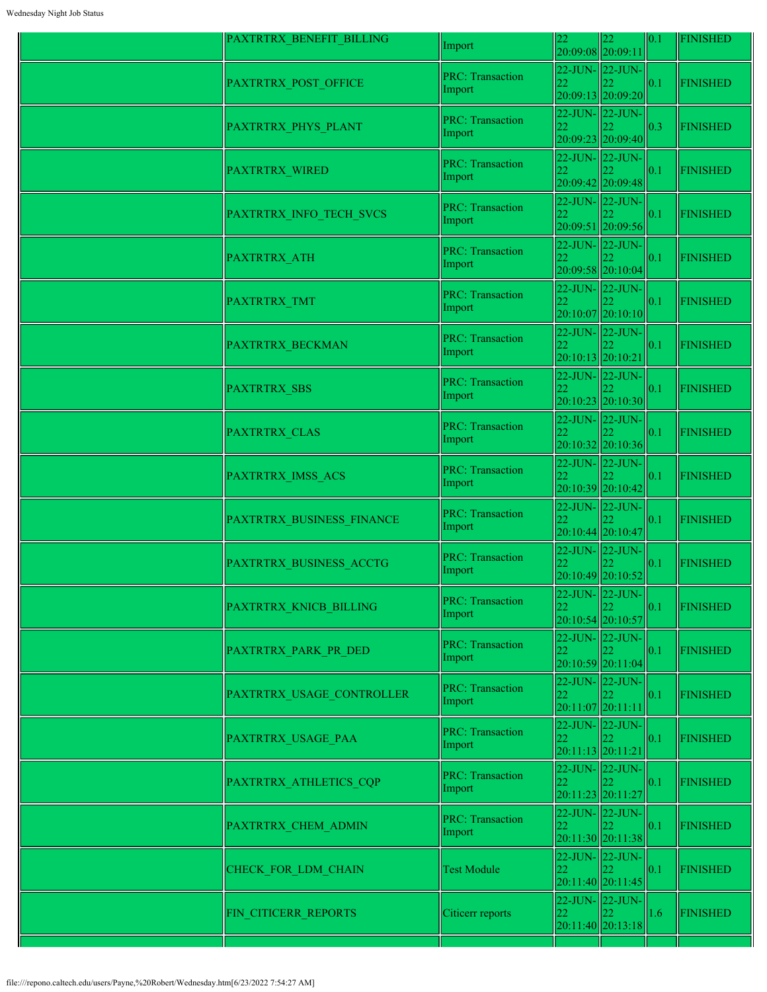| PAXTRTRX_BENEFIT_BILLING  | Import                            | 22<br>20:09:08 20:09:11   | 22                                                   | 0.1           | <b>FINISHED</b> |
|---------------------------|-----------------------------------|---------------------------|------------------------------------------------------|---------------|-----------------|
| PAXTRTRX POST OFFICE      | <b>PRC: Transaction</b><br>Import | 22                        | 22-JUN-22-JUN-<br>20:09:13 20:09:20                  | 0.1           | <b>FINISHED</b> |
| PAXTRTRX PHYS PLANT       | <b>PRC: Transaction</b><br>Import | 22                        | 22-JUN-22-JUN-<br>20:09:23 20:09:40                  | 0.3           | <b>FINISHED</b> |
| PAXTRTRX_WIRED            | <b>PRC: Transaction</b><br>Import | 22                        | 22-JUN-22-JUN-<br>20:09:42 20:09:48                  | 0.1           | <b>FINISHED</b> |
| PAXTRTRX_INFO_TECH_SVCS   | <b>PRC: Transaction</b><br>Import | 22                        | 22-JUN-22-JUN-<br>20:09:51 20:09:56                  | 0.1           | <b>FINISHED</b> |
| PAXTRTRX_ATH              | <b>PRC: Transaction</b><br>Import | 22                        | 22-JUN-22-JUN-<br>20:09:58 20:10:04                  | 0.1           | <b>FINISHED</b> |
| PAXTRTRX TMT              | <b>PRC: Transaction</b><br>Import | 22                        | 22-JUN-22-JUN-<br>20:10:07 20:10:10                  | $ 0.1\rangle$ | <b>FINISHED</b> |
| <b>PAXTRTRX BECKMAN</b>   | <b>PRC: Transaction</b><br>Import | 22<br>20:10:13 20:10:21   | $22$ -JUN- $\vert$ 22-JUN-                           | 0.1           | <b>FINISHED</b> |
| <b>PAXTRTRX SBS</b>       | <b>PRC: Transaction</b><br>Import |                           | 22-JUN-22-JUN-<br>$20:10:23$ 20:10:30                | 0.1           | <b>FINISHED</b> |
| PAXTRTRX CLAS             | <b>PRC: Transaction</b><br>Import | 22                        | 22-JUN- 22-JUN-<br>20:10:32 20:10:36                 | 0.1           | <b>FINISHED</b> |
| PAXTRTRX IMSS ACS         | <b>PRC: Transaction</b><br>Import |                           | $22$ -JUN- $\vert$ 22-JUN-<br>20:10:39 20:10:42      | 0.1           | <b>FINISHED</b> |
| PAXTRTRX BUSINESS FINANCE | <b>PRC: Transaction</b><br>Import |                           | 22-JUN-22-JUN-<br>20:10:44 20:10:47                  | 0.1           | <b>FINISHED</b> |
| PAXTRTRX BUSINESS ACCTG   | <b>PRC: Transaction</b><br>Import | 22                        | 22-JUN- 22-JUN-<br>20:10:49 20:10:52                 | 0.1           | <b>FINISHED</b> |
| PAXTRTRX KNICB BILLING    | <b>PRC: Transaction</b><br>Import | 22                        | $22$ -JUN- $22$ -JUN- $\vert$<br>$20:10:54$ 20:10:57 | 0.1           | <b>FINISHED</b> |
| PAXTRTRX PARK PR DED      | <b>PRC: Transaction</b><br>Import |                           | 22-JUN- 22-JUN-<br>20:10:59 20:11:04                 | 0.1           | <b>FINISHED</b> |
| PAXTRTRX USAGE CONTROLLER | <b>PRC: Transaction</b><br>Import | 22<br>$20:11:07$ 20:11:11 | 22-JUN-22-JUN-                                       | 0.1           | <b>FINISHED</b> |
| PAXTRTRX USAGE PAA        | <b>PRC: Transaction</b><br>Import | 22<br>$20:11:13$ 20:11:21 | 22-JUN-22-JUN-                                       | 0.1           | <b>FINISHED</b> |
| PAXTRTRX_ATHLETICS_CQP    | <b>PRC: Transaction</b><br>Import | 22                        | 22-JUN-22-JUN-<br>20:11:23 20:11:27                  | 0.1           | <b>FINISHED</b> |
| PAXTRTRX CHEM ADMIN       | <b>PRC: Transaction</b><br>Import | 22                        | $22$ -JUN- $\vert$ 22-JUN-<br>$20:11:30$ 20:11:38    | 0.1           | <b>FINISHED</b> |
| CHECK FOR LDM CHAIN       | <b>Test Module</b>                | 22                        | 22-JUN- 22-JUN-<br>$20:11:40$  20:11:45              | 0.1           | <b>FINISHED</b> |
| FIN CITICERR REPORTS      | Citicerr reports                  | 22                        | 22-JUN- 22-JUN-<br>22.<br>20:11:40 20:13:18          | 1.6           | <b>FINISHED</b> |
|                           |                                   |                           |                                                      |               |                 |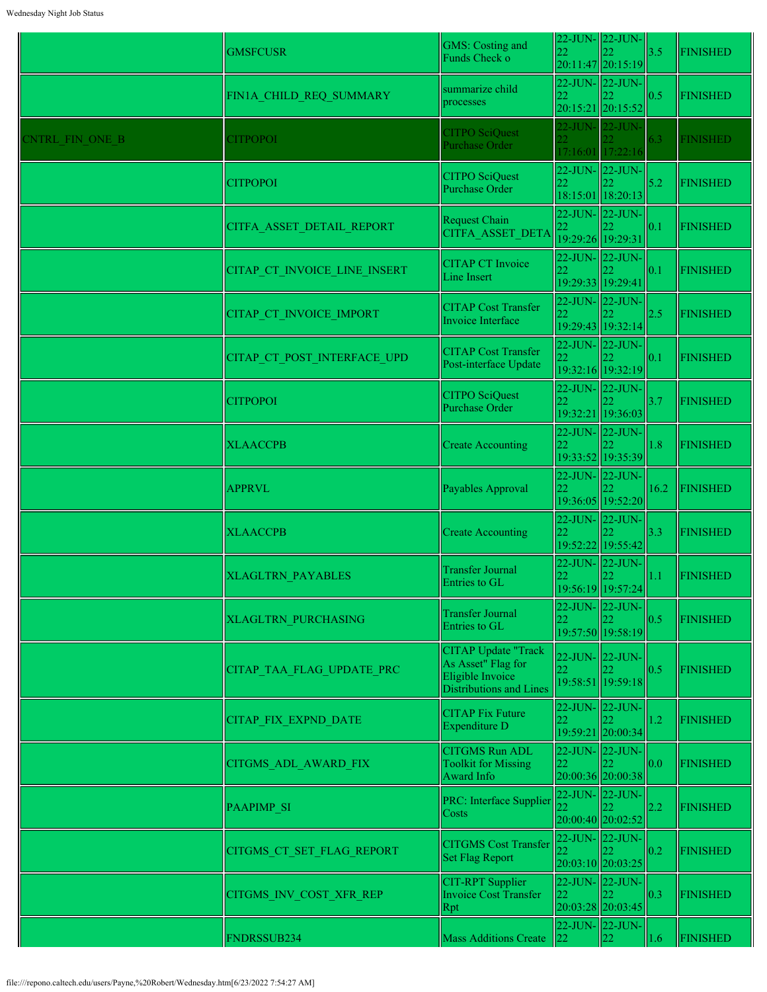|                 | <b>GMSFCUSR</b>              | <b>GMS: Costing and</b><br>Funds Check o                                                               | 22                                        | $22$ -JUN- $\ $ 22-JUN-<br>つつ<br>20:11:47 20:15:19 | 3.5           | <b>FINISHED</b> |
|-----------------|------------------------------|--------------------------------------------------------------------------------------------------------|-------------------------------------------|----------------------------------------------------|---------------|-----------------|
|                 | FIN1A CHILD REQ SUMMARY      | summarize child<br>processes                                                                           | 22                                        | $22$ -JUN- $\vert$ 22-JUN-<br>20:15:21 20:15:52    | 0.5           | <b>FINISHED</b> |
| CNTRL FIN ONE B | <b>CITPOPOI</b>              | <b>CITPO SciQuest</b><br>Purchase Order                                                                | $\overline{22}$                           | 22-JUN- 22-JUN-<br>17:16:01 17:22:16               | 6.3           | <b>FINISHED</b> |
|                 | <b>CITPOPOI</b>              | <b>CITPO SciQuest</b><br><b>Purchase Order</b>                                                         | 22                                        | $22$ -JUN- $\vert$ 22-JUN-<br>18:15:01 18:20:13    | 5.2           | <b>FINISHED</b> |
|                 | CITFA ASSET DETAIL REPORT    | Request Chain<br>CITFA ASSET DETA                                                                      | 22<br>19:29:26 19:29:31                   | $22$ -JUN- $\vert$ 22-JUN-                         | 0.1           | <b>FINISHED</b> |
|                 | CITAP CT INVOICE LINE INSERT | <b>CITAP CT Invoice</b><br>Line Insert                                                                 | 22                                        | $22$ -JUN- $\vert$ 22-JUN-<br>19:29:33 19:29:41    | 0.1           | <b>FINISHED</b> |
|                 | CITAP CT INVOICE IMPORT      | <b>CITAP Cost Transfer</b><br>Invoice Interface                                                        |                                           | 22-JUN- 22-JUN-<br>19:29:43 19:32:14               | 2.5           | <b>FINISHED</b> |
|                 | CITAP CT POST INTERFACE UPD  | <b>CITAP Cost Transfer</b><br>Post-interface Update                                                    |                                           | $22$ -JUN- $\vert$ 22-JUN-<br>19:32:16 19:32:19    | 0.1           | <b>FINISHED</b> |
|                 | <b>CITPOPOI</b>              | <b>CITPO SciQuest</b><br>Purchase Order                                                                | 22                                        | $22$ -JUN- $\vert$ 22-JUN-<br>19:32:21 19:36:03    | 3.7           | <b>FINISHED</b> |
|                 | <b>XLAACCPB</b>              | <b>Create Accounting</b>                                                                               | 22-JUN-22-JUN-<br>22                      | 19:33:52 19:35:39                                  | 1.8           | <b>FINISHED</b> |
|                 | <b>APPRVL</b>                | Payables Approval                                                                                      | 22-JUN-22-JUN-<br>22                      | 19:36:05 19:52:20                                  | 16.2          | <b>FINISHED</b> |
|                 | <b>XLAACCPB</b>              | <b>Create Accounting</b>                                                                               | 22.                                       | $22$ -JUN- $\vert$ 22-JUN-<br>19:52:22 19:55:42    | 3.3           | <b>FINISHED</b> |
|                 | <b>XLAGLTRN PAYABLES</b>     | Transfer Journal<br>Entries to GL                                                                      | 22                                        | 22-JUN-22-JUN-<br>19:56:19 19:57:24                | 1.1           | <b>FINISHED</b> |
|                 | <b>XLAGLTRN PURCHASING</b>   | <b>Transfer Journal</b><br>Entries to GL                                                               | 22                                        | 22-JUN-22-JUN-<br>19:57:50 19:58:19                | 0.5           | <b>FINISHED</b> |
|                 | CITAP TAA FLAG UPDATE PRC    | <b>CITAP Update "Track</b><br>As Asset" Flag for<br>Eligible Invoice<br><b>Distributions and Lines</b> | 22-JUN-22-JUN-<br>22                      | 19:58:51 19:59:18                                  | 0.5           | <b>FINISHED</b> |
|                 | <b>CITAP FIX EXPND DATE</b>  | <b>CITAP Fix Future</b><br>Expenditure D                                                               | 22                                        | 22-JUN- 22-JUN-<br>19:59:21 20:00:34               | 1.2           | <b>FINISHED</b> |
|                 | CITGMS_ADL_AWARD_FIX         | <b>CITGMS Run ADL</b><br><b>Toolkit for Missing</b><br>Award Info                                      | 22-JUN-22-JUN-<br>22<br>20:00:36 20:00:38 |                                                    | 0.0           | <b>FINISHED</b> |
|                 | <b>PAAPIMP SI</b>            | PRC: Interface Supplier<br>Costs                                                                       | 22-JUN-22-JUN-<br>22                      | 20:00:40 20:02:52                                  | $2.2^{\circ}$ | <b>FINISHED</b> |
|                 | CITGMS CT SET FLAG REPORT    | <b>CITGMS</b> Cost Transfer<br><b>Set Flag Report</b>                                                  | 22-JUN-22-JUN-<br>22                      | 20:03:10 20:03:25                                  | 0.2           | <b>FINISHED</b> |
|                 | CITGMS INV COST XFR REP      | <b>CIT-RPT</b> Supplier<br><b>Invoice Cost Transfer</b><br>Rpt                                         | 22-JUN- 22-JUN-<br>22                     | 20:03:28 20:03:45                                  | 0.3           | <b>FINISHED</b> |
|                 | FNDRSSUB234                  | <b>Mass Additions Create</b>                                                                           | 22                                        | $22$ -JUN- $22$ -JUN-<br>22                        | 1.6           | <b>FINISHED</b> |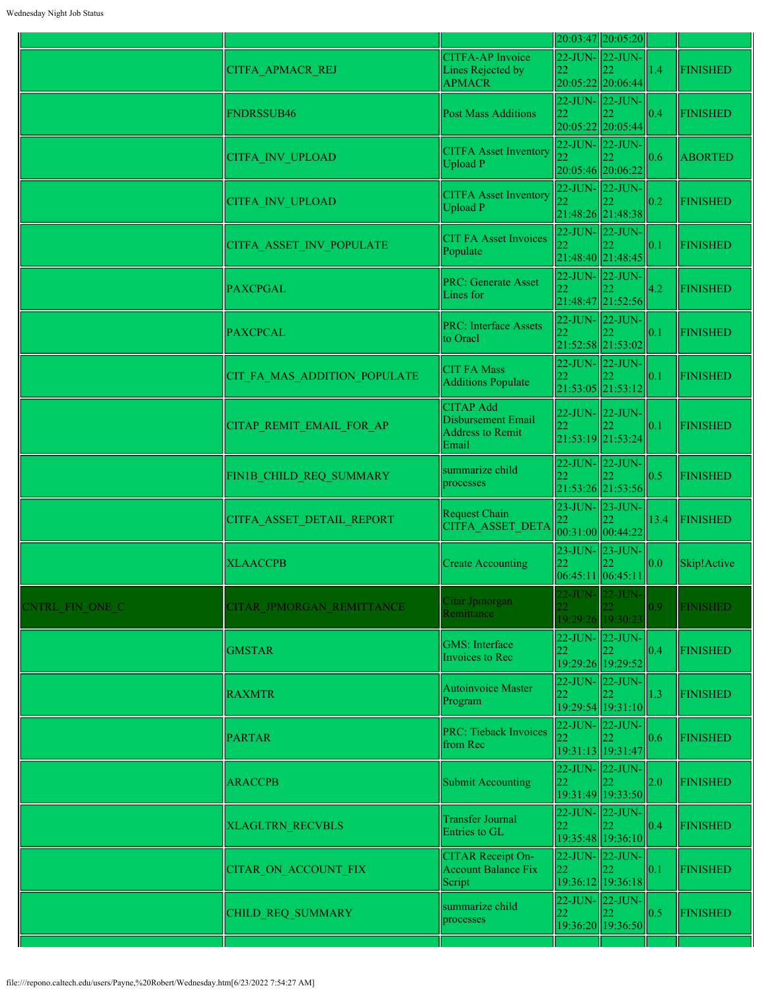|                 |                              |                                                                            |                                           | 20:03:47 20:05:20                           |                   |                 |
|-----------------|------------------------------|----------------------------------------------------------------------------|-------------------------------------------|---------------------------------------------|-------------------|-----------------|
|                 | CITFA APMACR REJ             | <b>CITFA-AP</b> Invoice<br>Lines Rejected by<br><b>APMACR</b>              | 22-JUN-22-JUN-<br>22                      | 20:05:22 20:06:44                           | 1.4               | <b>FINISHED</b> |
|                 | <b>FNDRSSUB46</b>            | <b>Post Mass Additions</b>                                                 | 22                                        | 22-JUN- 22-JUN-<br>20:05:22 20:05:44        | 0.4               | <b>FINISHED</b> |
|                 | <b>CITFA INV UPLOAD</b>      | <b>CITFA Asset Inventory</b><br>Upload P                                   | 22-JUN-22-JUN-<br>22<br>20:05:46 20:06:22 |                                             | 0.6               | <b>ABORTED</b>  |
|                 | <b>CITFA INV UPLOAD</b>      | <b>CITFA Asset Inventory</b><br>Upload P                                   | 22                                        | 22-JUN-22-JUN-<br>21:48:26 21:48:38         | 0.2               | <b>FINISHED</b> |
|                 | CITFA_ASSET_INV_POPULATE     | <b>CIT FA Asset Invoices</b><br>Populate                                   | $22$ -JUN- $\sqrt{22}$ -JUN-<br>22        | 21:48:40 21:48:45                           | 0.1               | <b>FINISHED</b> |
|                 | <b>PAXCPGAL</b>              | <b>PRC: Generate Asset</b><br>Lines for                                    | 22-JUN- 22-JUN-<br>22                     | 21:48:47 21:52:56                           | 4.2               | <b>FINISHED</b> |
|                 | <b>PAXCPCAL</b>              | <b>PRC: Interface Assets</b><br>to Oracl                                   | 22                                        | 22-JUN- 22-JUN-<br>21:52:58 21:53:02        | 0.1               | <b>FINISHED</b> |
|                 | CIT FA MAS ADDITION POPULATE | <b>CIT FA Mass</b><br>Additions Populate                                   | 22-JUN- 22-JUN-<br>22                     | 21:53:05 21:53:12                           | 0.1               | <b>FINISHED</b> |
|                 | CITAP REMIT EMAIL FOR AP     | <b>CITAP Add</b><br>Disbursement Email<br><b>Address to Remit</b><br>Email | 22-JUN- 22-JUN-<br>22                     | 21:53:19 21:53:24                           | $ 0.1\rangle$     | <b>FINISHED</b> |
|                 | FIN1B CHILD REQ SUMMARY      | summarize child<br>processes                                               | 22                                        | 22-JUN- 22-JUN-<br>21:53:26 21:53:56        | 0.5               | <b>FINISHED</b> |
|                 | CITFA ASSET DETAIL REPORT    | <b>Request Chain</b><br>CITFA ASSET DETA                                   | 22<br>00:31:00 00:44:22                   | 23-JUN- 23-JUN-                             | 13.4              | <b>FINISHED</b> |
|                 | <b>XLAACCPB</b>              | <b>Create Accounting</b>                                                   | 06:45:11 06:45:11                         | 23-JUN- 23-JUN-                             | 0.0               | Skip!Active     |
| CNTRL FIN ONE C | CITAR JPMORGAN REMITTANCE    | Citar Jpmorgan<br>Remittance                                               | 22-JUN-1<br>22.                           | $22$ -JUN-<br>19:29:26 19:30:23             | $\vert 0.9 \vert$ | <b>FINISHED</b> |
|                 | <b>GMSTAR</b>                | <b>GMS</b> : Interface<br>Invoices to Rec                                  | 22                                        | 22-JUN- 22-JUN-<br>19:29:26 19:29:52        | 0.4               | <b>FINISHED</b> |
|                 | <b>RAXMTR</b>                | Autoinvoice Master<br>Program                                              | 22                                        | 22-JUN- 22-JUN-<br>19:29:54 19:31:10        | 1.3               | <b>FINISHED</b> |
|                 | <b>PARTAR</b>                | <b>PRC: Tieback Invoices</b><br>from Rec                                   | 22                                        | 22-JUN- 22-JUN-<br>19:31:13 19:31:47        | 0.6               | <b>FINISHED</b> |
|                 | <b>ARACCPB</b>               | Submit Accounting                                                          | 22                                        | 22-JUN- 22-JUN-<br>19:31:49 19:33:50        | 2.0               | <b>FINISHED</b> |
|                 | <b>XLAGLTRN RECVBLS</b>      | <b>Transfer Journal</b><br>Entries to GL                                   | 22                                        | 22-JUN- 22-JUN-<br>22.<br>19:35:48 19:36:10 | 0.4               | <b>FINISHED</b> |
|                 | CITAR ON ACCOUNT FIX         | <b>CITAR Receipt On-</b><br><b>Account Balance Fix</b><br>Script           | 22                                        | 22-JUN-22-JUN-<br>22<br>19:36:12 19:36:18   | 0.1               | <b>FINISHED</b> |
|                 | CHILD REQ SUMMARY            | summarize child<br>processes                                               | 22-JUN- 22-JUN-<br>22                     | 19:36:20 19:36:50                           | 0.5               | <b>FINISHED</b> |
|                 |                              |                                                                            |                                           |                                             |                   |                 |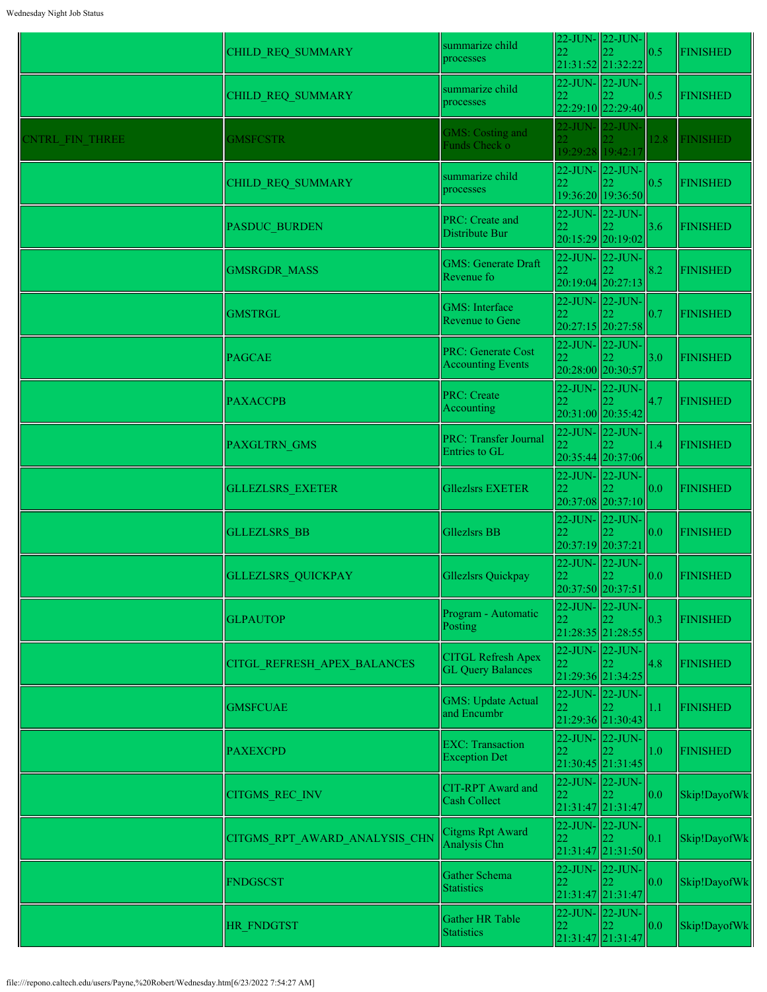|                 | CHILD_REQ_SUMMARY             | summarize child<br>processes                          | 22                      | $22$ -JUN- $\ $ 22-JUN-<br>21:31:52 21:32:22        | 0.5  | <b>FINISHED</b> |
|-----------------|-------------------------------|-------------------------------------------------------|-------------------------|-----------------------------------------------------|------|-----------------|
|                 | CHILD_REQ_SUMMARY             | summarize child<br>processes                          | 22                      | 22-JUN-22-JUN-<br>22:29:10 22:29:40                 | 0.5  | <b>FINISHED</b> |
| CNTRL FIN THREE | <b>GMSFCSTR</b>               | <b>GMS: Costing and</b><br>Funds Check o              | $22^{1}$                | 22-JUN- 22-JUN-<br>19:29:28 19:42:17                | 12.8 | <b>FINISHED</b> |
|                 | CHILD REQ SUMMARY             | summarize child<br>processes                          | 22                      | $22$ -JUN- $\vert$ 22-JUN-<br>19:36:20 19:36:50     | 0.5  | <b>FINISHED</b> |
|                 | <b>PASDUC BURDEN</b>          | PRC: Create and<br>Distribute Bur                     | 22                      | 22-JUN-22-JUN-<br>20:15:29 20:19:02                 | 3.6  | <b>FINISHED</b> |
|                 | <b>GMSRGDR MASS</b>           | <b>GMS: Generate Draft</b><br>Revenue fo              | 22                      | $22$ -JUN- $\vert$ 22-JUN-<br>20:19:04 20:27:13     | 8.2  | <b>FINISHED</b> |
|                 | <b>GMSTRGL</b>                | <b>GMS</b> : Interface<br><b>Revenue to Gene</b>      | 22                      | $22$ -JUN- $\vert$ 22-JUN-<br>20:27:15 20:27:58     | 0.7  | <b>FINISHED</b> |
|                 | <b>PAGCAE</b>                 | <b>PRC: Generate Cost</b><br><b>Accounting Events</b> | 20:28:00 20:30:57       | $22$ -JUN- $\vert$ 22-JUN-                          | 3.0  | <b>FINISHED</b> |
|                 | <b>PAXACCPB</b>               | <b>PRC: Create</b><br>Accounting                      | 22                      | 22-JUN-22-JUN-<br>20:31:00 20:35:42                 | 4.7  | <b>FINISHED</b> |
|                 | <b>PAXGLTRN GMS</b>           | <b>PRC: Transfer Journal</b><br>Entries to GL         | 22                      | 22-JUN-22-JUN-<br>20:35:44 20:37:06                 | 1.4  | <b>FINISHED</b> |
|                 | <b>GLLEZLSRS EXETER</b>       | <b>Gllezlsrs EXETER</b>                               | 22.                     | $22$ -JUN- $\vert$ 22-JUN-<br>20:37:08 20:37:10     | 0.0  | <b>FINISHED</b> |
|                 | <b>GLLEZLSRS BB</b>           | <b>Gllezlsrs BB</b>                                   | 22<br>20:37:19 20:37:21 | 22-JUN- 22-JUN-                                     | 0.0  | <b>FINISHED</b> |
|                 | <b>GLLEZLSRS QUICKPAY</b>     | Gllezlsrs Quickpay                                    | 22                      | $22$ -JUN- $\vert$ 22-JUN-<br>20:37:50 20:37:51     | 0.0  | <b>FINISHED</b> |
|                 | <b>GLPAUTOP</b>               | Program - Automatic<br>Posting                        | 22                      | $22$ -JUN- $22$ -JUN-<br>22<br>21:28:35 21:28:55    | 0.3  | <b>FINISHED</b> |
|                 | CITGL REFRESH APEX BALANCES   | <b>CITGL Refresh Apex</b><br><b>GL Query Balances</b> | 22                      | $22$ -JUN- $\vert$ 22-JUN-<br>21:29:36 21:34:25     | 4.8  | <b>FINISHED</b> |
|                 | <b>GMSFCUAE</b>               | <b>GMS: Update Actual</b><br>and Encumbr              | 22                      | 22-JUN-22-JUN-<br>21:29:36 21:30:43                 | 1.1  | <b>FINISHED</b> |
|                 | <b>PAXEXCPD</b>               | <b>EXC:</b> Transaction<br><b>Exception Det</b>       | 22                      | $22$ -JUN- $\vert$ 22-JUN-<br>21:30:45 21:31:45     | 1.0  | <b>FINISHED</b> |
|                 | <b>CITGMS REC INV</b>         | <b>CIT-RPT</b> Award and<br>Cash Collect              | 22                      | $22$ -JUN- $\vert$ 22-JUN-<br>21:31:47 21:31:47     | 0.0  | Skip!DayofWk    |
|                 | CITGMS RPT AWARD ANALYSIS CHN | Citgms Rpt Award<br>Analysis Chn                      | 22                      | $22$ -JUN- $\vert$ 22-JUN-<br>21:31:47 21:31:50     | 0.1  | Skip!DayofWk    |
|                 | <b>FNDGSCST</b>               | Gather Schema<br><b>Statistics</b>                    | 22                      | $22$ -JUN- $\vert$ 22-JUN-<br>21:31:47 21:31:47     | 0.0  | Skip!DayofWk    |
|                 | HR FNDGTST                    | Gather HR Table<br><b>Statistics</b>                  | 22                      | 22-JUN-22-JUN-<br>$ 22\rangle$<br>21:31:47 21:31:47 | 0.0  | Skip!DayofWk    |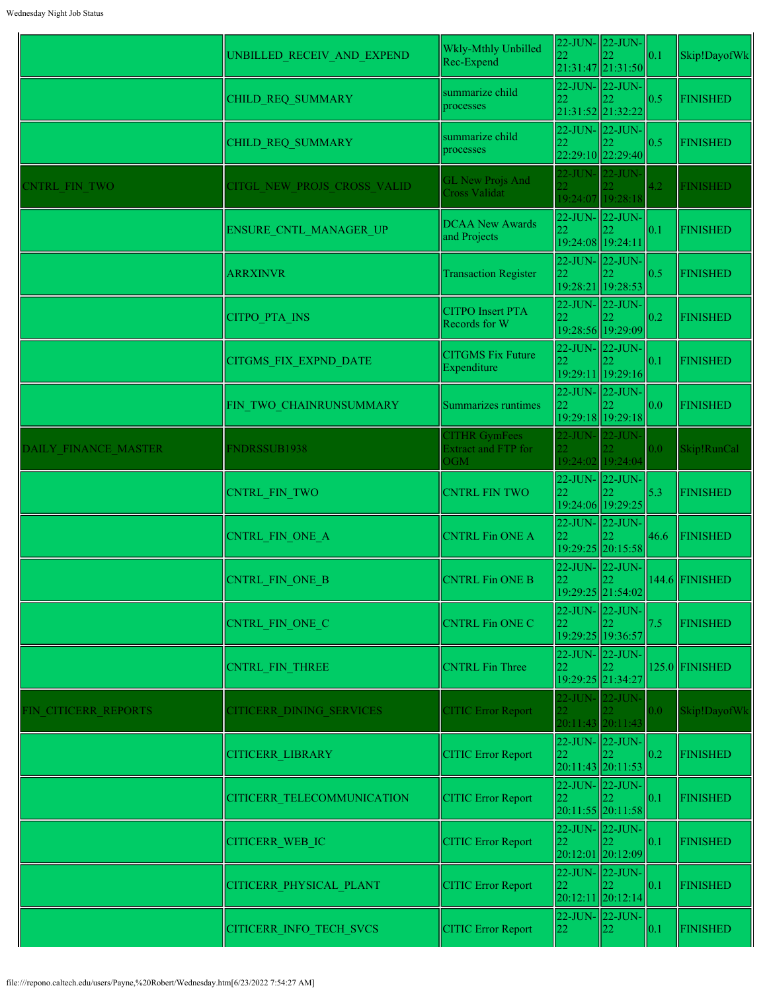|                             |                                 | Wkly-Mthly Unbilled                         |                       | $22$ -JUN- $\vert$ 22-JUN- |      |                  |
|-----------------------------|---------------------------------|---------------------------------------------|-----------------------|----------------------------|------|------------------|
|                             | UNBILLED_RECEIV_AND_EXPEND      | Rec-Expend                                  | 22                    | 21:31:47 21:31:50          | 0.1  | Skip!DayofWk     |
|                             | CHILD REQ SUMMARY               | summarize child                             | 22                    | $22$ -JUN- $\vert$ 22-JUN- | 0.5  | <b>FINISHED</b>  |
|                             |                                 | processes                                   | 21:31:52 21:32:22     |                            |      |                  |
|                             | CHILD REQ SUMMARY               | summarize child                             | 22                    | $22$ -JUN- $\vert$ 22-JUN- | 0.5  | <b>FINISHED</b>  |
|                             |                                 | processes                                   |                       | 22:29:10 22:29:40          |      |                  |
| <b>ENTRL FIN TWO</b>        | CITGL NEW PROJS CROSS VALID     | <b>GL New Projs And</b>                     | 22-JUN- 22-JUN-       |                            | 4.2  | <b>FINISHED</b>  |
|                             |                                 | <b>Cross Validat</b>                        |                       | 19:24:07 19:28:18          |      |                  |
|                             | ENSURE_CNTL_MANAGER_UP          | <b>DCAA New Awards</b>                      | 22-JUN-22-JUN-<br>22  |                            | 0.1  | <b>FINISHED</b>  |
|                             |                                 | and Projects                                | 19:24:08 19:24:11     |                            |      |                  |
|                             | <b>ARRXINVR</b>                 | <b>Transaction Register</b>                 | 22-JUN-22-JUN-<br>22  |                            | 0.5  | <b>FINISHED</b>  |
|                             |                                 |                                             |                       | 19:28:21 19:28:53          |      |                  |
|                             | <b>CITPO PTA INS</b>            | <b>CITPO</b> Insert PTA                     | 22-JUN- 22-JUN-<br>22 |                            | 0.2  | <b>FINISHED</b>  |
|                             |                                 | Records for W                               |                       | 19:28:56 19:29:09          |      |                  |
|                             | <b>CITGMS FIX EXPND DATE</b>    | <b>CITGMS Fix Future</b>                    | 22-JUN-22-JUN-<br>22  |                            | 0.1  | <b>FINISHED</b>  |
|                             |                                 | Expenditure                                 |                       | 19:29:11 19:29:16          |      |                  |
|                             | FIN TWO CHAINRUNSUMMARY         | Summarizes runtimes                         | 22-JUN-22-JUN-<br>22  |                            | 0.0  | <b>FINISHED</b>  |
|                             |                                 |                                             |                       | 19:29:18 19:29:18          |      |                  |
| <b>DAILY FINANCE MASTER</b> | FNDRSSUB1938                    | <b>CITHR GymFees</b><br>Extract and FTP for | 22-JUN- 22-JUN-       |                            | 0.0  | Skip!RunCal      |
|                             |                                 | <b>OGM</b>                                  |                       | 19:24:02 19:24:04          |      |                  |
|                             | CNTRL FIN_TWO                   | <b>CNTRL FIN TWO</b>                        | 22                    | $22$ -JUN- $\vert$ 22-JUN- | 5.3  | <b>FINISHED</b>  |
|                             |                                 |                                             | 19:24:06 19:29:25     |                            |      |                  |
|                             | CNTRL FIN ONE A                 | <b>CNTRL Fin ONE A</b>                      | 22-JUN-22-JUN-<br>22  |                            | 46.6 | <b>FINISHED</b>  |
|                             |                                 |                                             |                       | 19:29:25 20:15:58          |      |                  |
|                             | CNTRL FIN ONE B                 | <b>CNTRL Fin ONE B</b>                      | 22-JUN-22-JUN-<br>22  | 22                         |      | 144.6 FINISHED   |
|                             |                                 |                                             |                       | 19:29:25 21:54:02          |      |                  |
|                             | CNTRL FIN ONE C                 | <b>CNTRL Fin ONE C</b>                      | 22-JUN-22-JUN-<br>22  |                            | 7.5  | <b>FINISHED</b>  |
|                             |                                 |                                             | 19:29:25 19:36:57     |                            |      |                  |
|                             | CNTRL FIN THREE                 | <b>CNTRL Fin Three</b>                      | 22                    | $22$ -JUN- $\vert$ 22-JUN- |      | $125.0$ FINISHED |
|                             |                                 |                                             | 19:29:25 21:34:27     |                            |      |                  |
| FIN CITICERR REPORTS        | <b>CITICERR DINING SERVICES</b> | <b>CITIC Error Report</b>                   | 22-JUN- 22-JUN-       |                            | 0.0  | Skip!DayofWk     |
|                             |                                 |                                             |                       | 20:11:43 20:11:43          |      |                  |
|                             | <b>CITICERR LIBRARY</b>         | <b>CITIC Error Report</b>                   | 22-JUN- 22-JUN-<br>22 |                            | 0.2  | <b>FINISHED</b>  |
|                             |                                 |                                             |                       | $20:11:43$ 20:11:53        |      |                  |
|                             | CITICERR TELECOMMUNICATION      | <b>CITIC Error Report</b>                   | 22-JUN-22-JUN-<br>22  |                            | 0.1  | <b>FINISHED</b>  |
|                             |                                 |                                             |                       | 20:11:55 20:11:58          |      |                  |
|                             | <b>CITICERR WEB IC</b>          | <b>CITIC Error Report</b>                   | 22                    | $22$ -JUN- $\vert$ 22-JUN- | 0.1  | <b>FINISHED</b>  |
|                             |                                 |                                             |                       | 20:12:01 20:12:09          |      |                  |
|                             | CITICERR PHYSICAL PLANT         | <b>CITIC Error Report</b>                   | 22-JUN- 22-JUN-<br>22 |                            | 0.1  | <b>FINISHED</b>  |
|                             |                                 |                                             |                       | 20:12:11 20:12:14          |      |                  |
|                             | CITICERR_INFO_TECH_SVCS         | <b>CITIC Error Report</b>                   | 22-JUN- 22-JUN-<br>22 | 22                         | 0.1  | <b>FINISHED</b>  |
|                             |                                 |                                             |                       |                            |      |                  |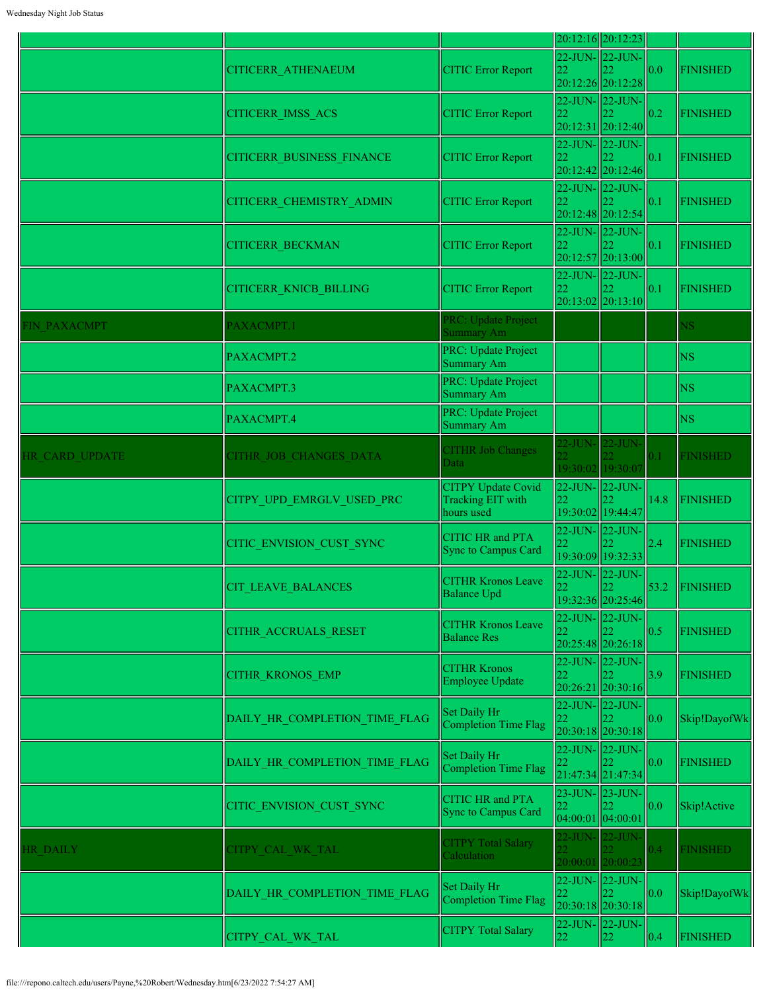|                 |                                  |                                                              |                         | 20:12:16 20:12:23                          |      |                       |
|-----------------|----------------------------------|--------------------------------------------------------------|-------------------------|--------------------------------------------|------|-----------------------|
|                 | <b>CITICERR ATHENAEUM</b>        | <b>CITIC Error Report</b>                                    | 22                      | 22-JUN-22-JUN-<br>20:12:26 20:12:28        | 0.0  | <b>FINISHED</b>       |
|                 | CITICERR_IMSS_ACS                | <b>CITIC Error Report</b>                                    | 22                      | 22-JUN-22-JUN-<br>20:12:31 20:12:40        | 0.2  | <b>FINISHED</b>       |
|                 | <b>CITICERR BUSINESS FINANCE</b> | <b>CITIC Error Report</b>                                    | 22                      | 22-JUN-22-JUN-<br>20:12:42 20:12:46        | 0.1  | <b>FINISHED</b>       |
|                 | CITICERR_CHEMISTRY_ADMIN         | <b>CITIC Error Report</b>                                    | 22                      | 22-JUN-22-JUN-<br>$20:12:48$  20:12:54     | 0.1  | <b>FINISHED</b>       |
|                 | <b>CITICERR BECKMAN</b>          | <b>CITIC Error Report</b>                                    | 22                      | 22-JUN- 22-JUN-<br>20:12:57 20:13:00       | 0.1  | <b>FINISHED</b>       |
|                 | <b>CITICERR KNICB BILLING</b>    | <b>CITIC Error Report</b>                                    | 22                      | 22-JUN- 22-JUN-<br>$20:13:02$ 20:13:10     | 0.1  | <b>FINISHED</b>       |
| FIN PAXACMPT    | PAXACMPT.1                       | PRC: Update Project<br><b>Summary Am</b>                     |                         |                                            |      | <b>NS</b>             |
|                 | PAXACMPT.2                       | PRC: Update Project<br>Summary Am                            |                         |                                            |      | <b>NS</b>             |
|                 | PAXACMPT.3                       | PRC: Update Project<br>Summary Am                            |                         |                                            |      | <b>NS</b>             |
|                 | PAXACMPT.4                       | PRC: Update Project<br><b>Summary Am</b>                     |                         |                                            |      | <b>NS</b>             |
| HR CARD UPDATE  | CITHR JOB CHANGES DATA           | <b>CITHR Job Changes</b><br>Data                             |                         | 22-JUN- 22-JUN-<br>19:30:02 19:30:07       | 0.1  | <b>FINISHED</b>       |
|                 | CITPY UPD EMRGLV USED PRC        | <b>CITPY Update Covid</b><br>Tracking EIT with<br>hours used | 22                      | 22-JUN- 22-JUN-<br>19:30:02 19:44:47       | 14.8 | <b>FINISHED</b>       |
|                 | CITIC ENVISION CUST SYNC         | <b>CITIC HR and PTA</b><br><b>Sync to Campus Card</b>        | 22                      | 22-JUN- 22-JUN-<br>19:30:09 19:32:33       | 2.4  | <b>FINISHED</b>       |
|                 | <b>CIT LEAVE BALANCES</b>        | <b>CITHR Kronos Leave</b><br><b>Balance Upd</b>              | 22                      | 22-JUN-22-JUN-<br>22<br>19:32:36 20:25:46  |      | 53.2 $\vert$ FINISHED |
|                 | CITHR_ACCRUALS_RESET             | <b>CITHR Kronos Leave</b><br><b>Balance Res</b>              | 22                      | 22-JUN- 22-JUN-<br>20:25:48 20:26:18       | 0.5  | <b>FINISHED</b>       |
|                 | <b>CITHR KRONOS EMP</b>          | <b>CITHR Kronos</b><br>Employee Update                       | 22                      | $22$ -JUN- $22$ -JUN-<br>20:26:21 20:30:16 | 3.9  | <b>FINISHED</b>       |
|                 | DAILY HR COMPLETION TIME FLAG    | Set Daily Hr<br>Completion Time Flag                         | 22                      | 22-JUN- 22-JUN-<br>$20:30:18$ 20:30:18     | 0.0  | Skip!DayofWk          |
|                 | DAILY HR COMPLETION TIME FLAG    | <b>Set Daily Hr</b><br>Completion Time Flag                  | 22                      | 22-JUN- 22-JUN-<br>21:47:34 21:47:34       | 0.0  | <b>FINISHED</b>       |
|                 | CITIC_ENVISION_CUST_SYNC         | <b>CITIC HR and PTA</b><br><b>Sync to Campus Card</b>        | 22<br>04:00:01 04:00:01 | 23-JUN- 23-JUN-                            | 0.0  | Skip!Active           |
| <b>HR DAILY</b> | CITPY CAL WK TAL                 | <b>CITPY Total Salary</b><br>Calculation                     | $22$ -JUN-              | $\frac{1}{22}$ -JUN-<br>20:00:01 20:00:23  | 0.4  | <b>FINISHED</b>       |
|                 | DAILY HR COMPLETION TIME FLAG    | Set Daily Hr<br>Completion Time Flag                         | 22                      | 22-JUN- 22-JUN-<br>$20:30:18$   20:30:18   | 0.0  | Skip!DayofWk          |
|                 | CITPY CAL WK TAL                 | <b>CITPY Total Salary</b>                                    | 22                      | 22-JUN- 22-JUN-<br>22                      | 0.4  | <b>FINISHED</b>       |